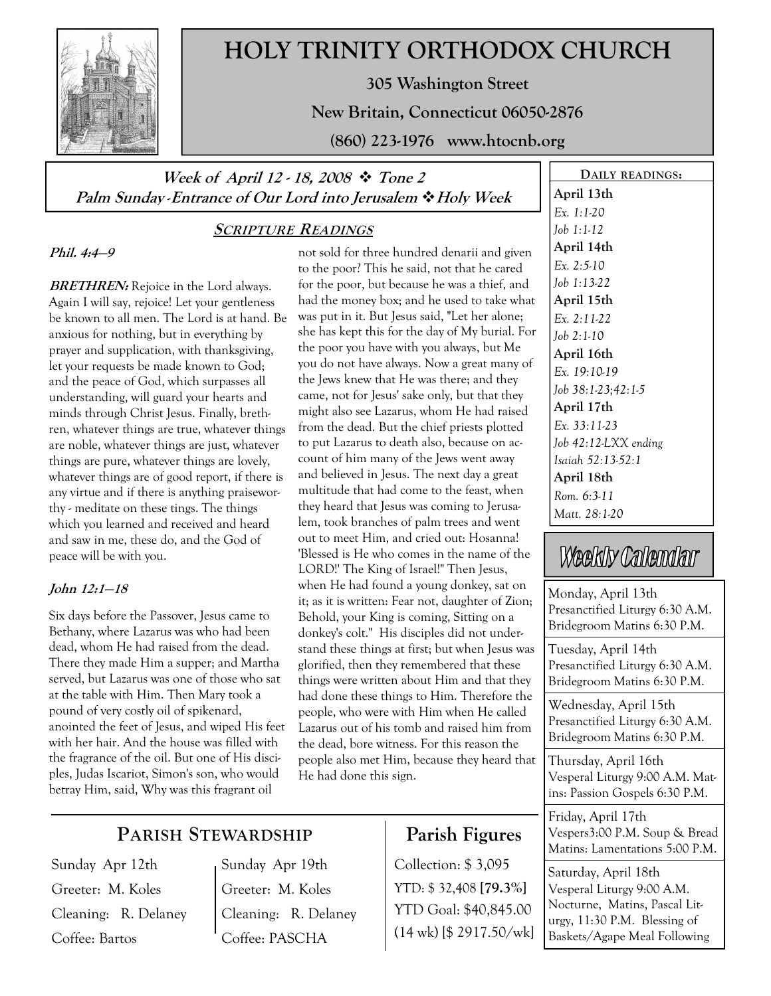

## HOLY TRINITY ORTHODOX CHURCH

305 Washington Street

New Britain, Connecticut 06050-2876

(860) 223-1976 www.htocnb.org

### Week of April 12 - 18, 2008  $\div$  Tone 2 Palm Sunday - Entrance of Our Lord into Jerusalem  $\cdot$  Holy Week

### SCRIPTURE READINGS

Phil. 4:4—9

**BRETHREN:** Rejoice in the Lord always. Again I will say, rejoice! Let your gentleness be known to all men. The Lord is at hand. Be anxious for nothing, but in everything by prayer and supplication, with thanksgiving, let your requests be made known to God; and the peace of God, which surpasses all understanding, will guard your hearts and minds through Christ Jesus. Finally, brethren, whatever things are true, whatever things are noble, whatever things are just, whatever things are pure, whatever things are lovely, whatever things are of good report, if there is any virtue and if there is anything praiseworthy - meditate on these tings. The things which you learned and received and heard and saw in me, these do, and the God of peace will be with you.

#### John 12:1—18

Six days before the Passover, Jesus came to Bethany, where Lazarus was who had been dead, whom He had raised from the dead. There they made Him a supper; and Martha served, but Lazarus was one of those who sat at the table with Him. Then Mary took a pound of very costly oil of spikenard, anointed the feet of Jesus, and wiped His feet with her hair. And the house was filled with the fragrance of the oil. But one of His disciples, Judas Iscariot, Simon's son, who would betray Him, said, Why was this fragrant oil

not sold for three hundred denarii and given to the poor? This he said, not that he cared for the poor, but because he was a thief, and had the money box; and he used to take what was put in it. But Jesus said, "Let her alone; she has kept this for the day of My burial. For the poor you have with you always, but Me you do not have always. Now a great many of the Jews knew that He was there; and they came, not for Jesus' sake only, but that they might also see Lazarus, whom He had raised from the dead. But the chief priests plotted to put Lazarus to death also, because on account of him many of the Jews went away and believed in Jesus. The next day a great multitude that had come to the feast, when they heard that Jesus was coming to Jerusalem, took branches of palm trees and went out to meet Him, and cried out: Hosanna! 'Blessed is He who comes in the name of the LORD!' The King of Israel!" Then Jesus, when He had found a young donkey, sat on it; as it is written: Fear not, daughter of Zion; Behold, your King is coming, Sitting on a donkey's colt." His disciples did not understand these things at first; but when Jesus was glorified, then they remembered that these things were written about Him and that they had done these things to Him. Therefore the people, who were with Him when He called Lazarus out of his tomb and raised him from the dead, bore witness. For this reason the people also met Him, because they heard that He had done this sign.

### PARISH STEWARDSHIP

Sunday Apr 12th Greeter: M. Koles Cleaning: R. Delaney Coffee: Bartos

Sunday Apr 19th Greeter: M. Koles Cleaning: R. Delaney Coffee: PASCHA

## Parish Figures

Collection: \$ 3,095 YTD: \$ 32,408 [79.3%] YTD Goal: \$40,845.00 (14 wk) [\$ 2917.50/wk]

DAILY READINGS: April 13th Ex. 1:1-20 Job 1:1-12 April 14th Ex. 2:5-10 Job 1:13-22 April 15th Ex. 2:11-22 Job 2:1-10 April 16th Ex. 19:10-19 Job 38:1-23;42:1-5 April 17th Ex. 33:11-23 Job 42:12-LXX ending Isaiah 52:13-52:1 April 18th Rom. 6:3-11 Matt. 28:1-20

# Weekly Calendar

Monday, April 13th Presanctified Liturgy 6:30 A.M. Bridegroom Matins 6:30 P.M.

Tuesday, April 14th Presanctified Liturgy 6:30 A.M. Bridegroom Matins 6:30 P.M.

Wednesday, April 15th Presanctified Liturgy 6:30 A.M. Bridegroom Matins 6:30 P.M.

Thursday, April 16th Vesperal Liturgy 9:00 A.M. Matins: Passion Gospels 6:30 P.M.

Friday, April 17th Vespers3:00 P.M. Soup & Bread Matins: Lamentations 5:00 P.M.

Saturday, April 18th Vesperal Liturgy 9:00 A.M. Nocturne, Matins, Pascal Liturgy, 11:30 P.M. Blessing of Baskets/Agape Meal Following